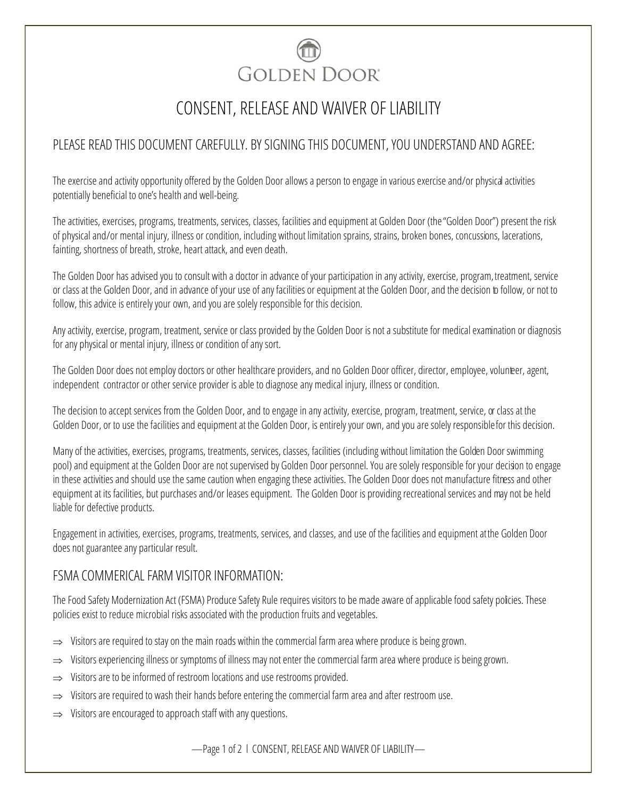

## CONSENT, RELEASE AND WAIVER OF LIABILITY

## PLEASE READ THIS DOCUMENT CAREFULLY. BY SIGNING THIS DOCUMENT, YOU UNDERSTAND AND AGREE:

The exercise and activity opportunity offered by the Golden Door allows a person to engage in various exercise and/or physical activities potentially beneficial to one's health and well-being.

The activities, exercises, programs, treatments, services, classes, facilities and equipment at Golden Door (the "Golden Door") present the risk of physical and/or mental injury, illness or condition, including without limitation sprains, strains, broken bones, concussions, lacerations, fainting, shortness of breath, stroke, heart attack, and even death.

The Golden Door has advised you to consult with a doctor in advance of your participation in any activity, exercise, program,treatment, service or class at the Golden Door, and in advance of your use of any facilities or equipment at the Golden Door, and the decision to follow, or not to follow, this advice is entirely your own, and you are solely responsible for this decision.

Any activity, exercise, program, treatment, service or class provided by the Golden Door is not a substitute for medical examination or diagnosis for any physical or mental injury, illness or condition of any sort.

The Golden Door does not employ doctors or other healthcare providers, and no Golden Door officer, director, employee, volunteer, agent, independent contractor or other service provider is able to diagnose any medical injury, illness or condition.

The decision to accept services from the Golden Door, and to engage in any activity, exercise, program, treatment, service, or class at the Golden Door, or to use the facilities and equipment at the Golden Door, is entirely your own, and you are solely responsible for this decision.

Many of the activities, exercises, programs, treatments, services, classes, facilities (including without limitation the Golden Door swimming pool) and equipment at the Golden Door are not supervised by Golden Door personnel. You are solely responsible for your decision to engage in these activities and should use the same caution when engaging these activities. The Golden Door does not manufacture fitness and other equipment at its facilities, but purchases and/or leases equipment. The Golden Door is providing recreational services and may not be held liable for defective products.

Engagement in activities, exercises, programs, treatments, services, and classes, and use of the facilities and equipment at the Golden Door does not guarantee any particular result.

## FSMA COMMERICAL FARM VISITOR INFORMATION:

The Food Safety Modernization Act (FSMA) Produce Safety Rule requires visitors to be made aware of applicable food safety policies. These policies exist to reduce microbial risks associated with the production fruits and vegetables.

- $\Rightarrow$  Visitors are required to stay on the main roads within the commercial farm area where produce is being grown.
- $\Rightarrow$  Visitors experiencing illness or symptoms of illness may not enter the commercial farm area where produce is being grown.
- $\Rightarrow$  Visitors are to be informed of restroom locations and use restrooms provided.
- $\Rightarrow$  Visitors are required to wash their hands before entering the commercial farm area and after restroom use.
- $\Rightarrow$  Visitors are encouraged to approach staff with any questions.

—Page 1 of 2 l CONSENT, RELEASE AND WAIVER OF LIABILITY—